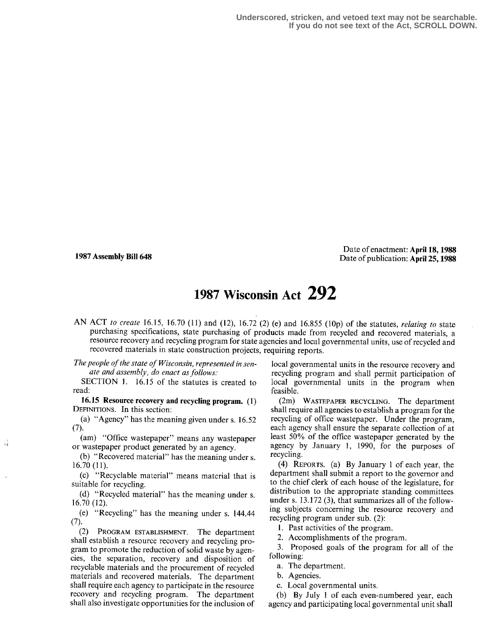-i J

Date of enactment: April 18,1988 1987 Assembly Bill 648 Date of publication: April 25, 1988

## 1987 Wisconsin Act 292

AN ACT to create 16.15, 16.70 (11) and (12), 16.72 (2) (e) and 16.855 (10p) of the statutes, relating to state purchasing specifications, state purchasing of products made from recycled and recovered materials, a resource recovery and recycling program for state agencies and local governmental units, use of recycled and recovered materials in state construction projects, requiring reports.

The people of the state of Wisconsin, represented in senate and assembly, do enact as follows:

SECTION 1. 16.15 of the statutes is created to read:

16.15 Resource recovery and recycling program. (1) DEFINITIONS. In this section:

(a) "Agency" has the meaning given under s.  $16.52$ <br>(7).

(am) "Office wastepaper" means any wastepaper or wastepaper product generated by an agency.

(b) "Recovered material" has the meaning under s. 16.70 (11).

(c) "Recyclable material" means material that is suitable for recycling.

(d) "Recycled material" has the meaning under s. 16 .70 (12) .

(e) "Recycling" has the meaning under s. 144.44

(2) PROGRAM ESTABLISHMENT. The department shall establish a resource recovery and recycling program to promote the reduction of solid waste by agencies, the separation, recovery and disposition of recyclable materials and the procurement of recycled materials and recovered materials. The department shall require each agency to participate in the resource recovery and recycling program. The department shall also investigate opportunities for the inclusion of

local governmental units in the resource recovery and recycling program and shall permit participation of local governmental units in the program when feasible.

(2m) WASTEPAPER RECYCLING. The department shall require all agencies to establish a program for the recycling of office wastepaper. Under the program, each agency shall ensure the separate collection of at least 50% of the office wastepaper generated by the agency by January l, 1990, for the purposes of recycling.

(4) REPORTS. (a) By January 1 of each year, the department shall submit a report to the governor and to the chief clerk of each house of the legislature, for distribution to the appropriate standing committees under s. 13 .172 (3), that summarizes all of the following subjects concerning the resource recovery and recycling program under sub. (2):

1. Past activities of the program.

2. Accomplishments of the program.

3. Proposed goals of the program for all of the following:

a. The department.

b. Agencies.

c. Local governmental units.

(b) By July 1 of each even-numbered year, each agency and participating local governmental unit shall